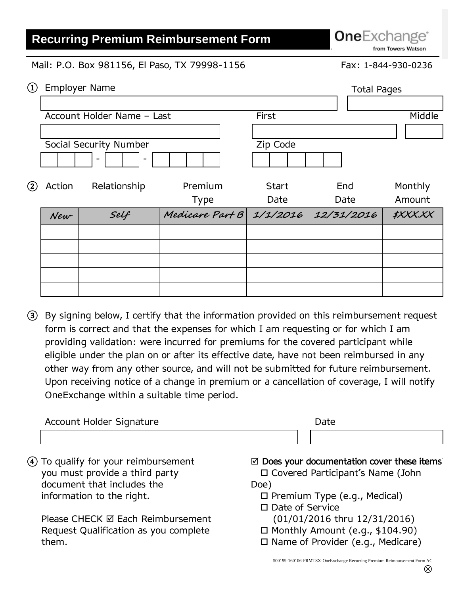## **Recurring Premium Reimbursement Form**

**One**Exchange<sup>®</sup> from Towers Watson

`

Mail: P.O. Box 981156, El Paso, TX 79998-1156 Fax: 1-844-930-0236

| $\left( \overline{1}\right)$ | <b>Employer Name</b>   |                            |                          |                      |             | <b>Total Pages</b> |  |
|------------------------------|------------------------|----------------------------|--------------------------|----------------------|-------------|--------------------|--|
|                              |                        |                            |                          |                      |             |                    |  |
|                              |                        | Account Holder Name - Last |                          | First                |             | Middle             |  |
|                              |                        |                            |                          |                      |             |                    |  |
|                              | Social Security Number |                            |                          | Zip Code             |             |                    |  |
|                              |                        |                            |                          |                      |             |                    |  |
| (2)                          | Action                 | Relationship               | Premium<br><b>Type</b>   | <b>Start</b><br>Date | End<br>Date | Monthly<br>Amount  |  |
|                              | New                    | Self                       | Medicare Part B 1/1/2016 |                      | 12/31/2016  | <b>\$XXX.XX</b>    |  |
|                              |                        |                            |                          |                      |             |                    |  |
|                              |                        |                            |                          |                      |             |                    |  |
|                              |                        |                            |                          |                      |             |                    |  |
|                              |                        |                            |                          |                      |             |                    |  |
|                              |                        |                            |                          |                      |             |                    |  |

③ By signing below, I certify that the information provided on this reimbursement request form is correct and that the expenses for which I am requesting or for which I am providing validation: were incurred for premiums for the covered participant while eligible under the plan on or after its effective date, have not been reimbursed in any other way from any other source, and will not be submitted for future reimbursement. Upon receiving notice of a change in premium or a cancellation of coverage, I will notify OneExchange within a suitable time period.

| Account Holder Signature              | Date                                                  |
|---------------------------------------|-------------------------------------------------------|
|                                       |                                                       |
| 4) To qualify for your reimbursement  | $\boxtimes$ Does your documentation cover these items |
| you must provide a third party        | □ Covered Participant's Name (John                    |
| document that includes the            | Doe)                                                  |
| information to the right.             | $\Box$ Premium Type (e.g., Medical)                   |
|                                       | $\Box$ Date of Service                                |
| Please CHECK Ø Each Reimbursement     | (01/01/2016 thru 12/31/2016)                          |
| Request Qualification as you complete | $\Box$ Monthly Amount (e.g., \$104.90)                |
| them.                                 | $\square$ Name of Provider (e.g., Medicare)           |

500199-160106-FRMTSX-OneExchange Recurring Premium Reimbursement Form AC